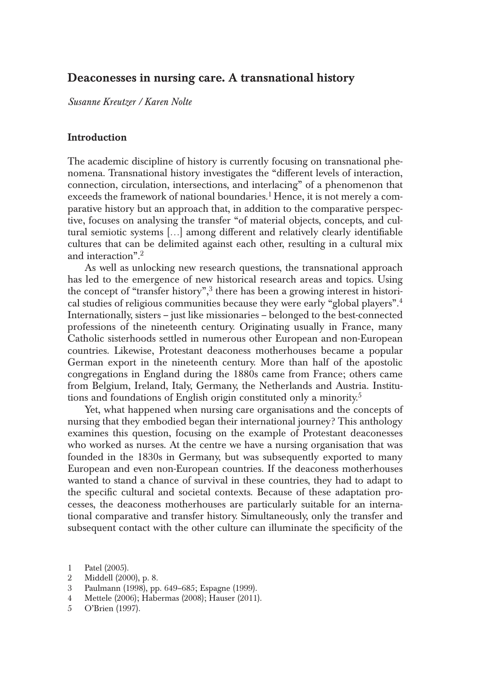# Deaconesses in nursing care. A transnational history

*Susanne Kreutzer / Karen Nolte*

### Introduction

The academic discipline of history is currently focusing on transnational phenomena. Transnational history investigates the "different levels of interaction, connection, circulation, intersections, and interlacing" of a phenomenon that exceeds the framework of national boundaries.<sup>1</sup> Hence, it is not merely a comparative history but an approach that, in addition to the comparative perspective, focuses on analysing the transfer "of material objects, concepts, and cultural semiotic systems […] among different and relatively clearly identifiable cultures that can be delimited against each other, resulting in a cultural mix and interaction".2

As well as unlocking new research questions, the transnational approach has led to the emergence of new historical research areas and topics. Using the concept of "transfer history",<sup>3</sup> there has been a growing interest in historical studies of religious communities because they were early "global players".4 Internationally, sisters – just like missionaries – belonged to the best-connected professions of the nineteenth century. Originating usually in France, many Catholic sisterhoods settled in numerous other European and non-European countries. Likewise, Protestant deaconess motherhouses became a popular German export in the nineteenth century. More than half of the apostolic congregations in England during the 1880s came from France; others came from Belgium, Ireland, Italy, Germany, the Netherlands and Austria. Institutions and foundations of English origin constituted only a minority.<sup>5</sup>

Yet, what happened when nursing care organisations and the concepts of nursing that they embodied began their international journey? This anthology examines this question, focusing on the example of Protestant deaconesses who worked as nurses. At the centre we have a nursing organisation that was founded in the 1830s in Germany, but was subsequently exported to many European and even non-European countries. If the deaconess motherhouses wanted to stand a chance of survival in these countries, they had to adapt to the specific cultural and societal contexts. Because of these adaptation processes, the deaconess motherhouses are particularly suitable for an international comparative and transfer history. Simultaneously, only the transfer and subsequent contact with the other culture can illuminate the specificity of the

- 2 Middell (2000), p. 8.
- 3 Paulmann (1998), pp. 649–685; Espagne (1999).
- 4 Mettele (2006); Habermas (2008); Hauser (2011).
- 5 O'Brien (1997).

<sup>1</sup> Patel (2005).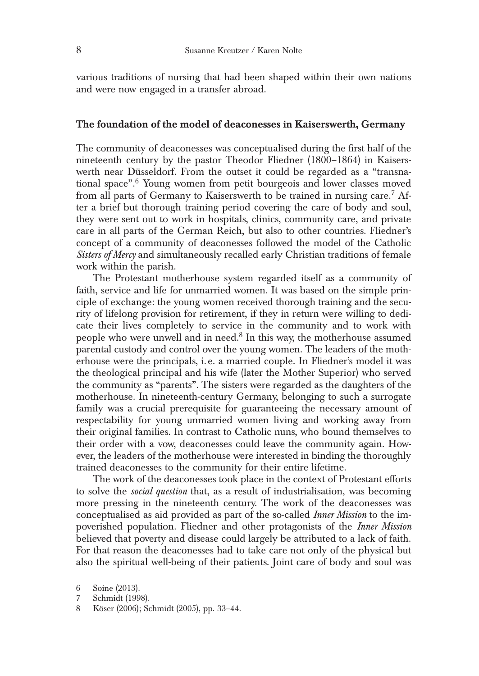various traditions of nursing that had been shaped within their own nations and were now engaged in a transfer abroad.

## The foundation of the model of deaconesses in Kaiserswerth, Germany

The community of deaconesses was conceptualised during the first half of the nineteenth century by the pastor Theodor Fliedner (1800–1864) in Kaiserswerth near Düsseldorf. From the outset it could be regarded as a "transnational space".6 Young women from petit bourgeois and lower classes moved from all parts of Germany to Kaiserswerth to be trained in nursing care.7 After a brief but thorough training period covering the care of body and soul, they were sent out to work in hospitals, clinics, community care, and private care in all parts of the German Reich, but also to other countries. Fliedner's concept of a community of deaconesses followed the model of the Catholic *Sisters of Mercy* and simultaneously recalled early Christian traditions of female work within the parish.

The Protestant motherhouse system regarded itself as a community of faith, service and life for unmarried women. It was based on the simple principle of exchange: the young women received thorough training and the security of lifelong provision for retirement, if they in return were willing to dedicate their lives completely to service in the community and to work with people who were unwell and in need.8 In this way, the motherhouse assumed parental custody and control over the young women. The leaders of the motherhouse were the principals, i. e. a married couple. In Fliedner's model it was the theological principal and his wife (later the Mother Superior) who served the community as "parents". The sisters were regarded as the daughters of the motherhouse. In nineteenth-century Germany, belonging to such a surrogate family was a crucial prerequisite for guaranteeing the necessary amount of respectability for young unmarried women living and working away from their original families. In contrast to Catholic nuns, who bound themselves to their order with a vow, deaconesses could leave the community again. However, the leaders of the motherhouse were interested in binding the thoroughly trained deaconesses to the community for their entire lifetime.

The work of the deaconesses took place in the context of Protestant efforts to solve the *social question* that, as a result of industrialisation, was becoming more pressing in the nineteenth century. The work of the deaconesses was conceptualised as aid provided as part of the so-called *Inner Mission* to the impoverished population. Fliedner and other protagonists of the *Inner Mission* believed that poverty and disease could largely be attributed to a lack of faith. For that reason the deaconesses had to take care not only of the physical but also the spiritual well-being of their patients. Joint care of body and soul was

<sup>6</sup> Soine (2013).

<sup>7</sup> Schmidt (1998).

<sup>8</sup> Köser (2006); Schmidt (2005), pp. 33–44.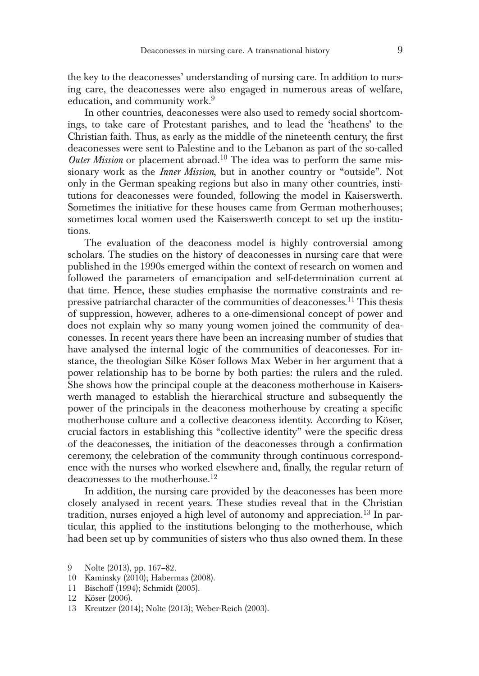the key to the deaconesses' understanding of nursing care. In addition to nursing care, the deaconesses were also engaged in numerous areas of welfare, education, and community work.<sup>9</sup>

In other countries, deaconesses were also used to remedy social shortcomings, to take care of Protestant parishes, and to lead the 'heathens' to the Christian faith. Thus, as early as the middle of the nineteenth century, the first deaconesses were sent to Palestine and to the Lebanon as part of the so-called *Outer Mission* or placement abroad.<sup>10</sup> The idea was to perform the same missionary work as the *Inner Mission*, but in another country or "outside". Not only in the German speaking regions but also in many other countries, institutions for deaconesses were founded, following the model in Kaiserswerth. Sometimes the initiative for these houses came from German motherhouses; sometimes local women used the Kaiserswerth concept to set up the institutions.

The evaluation of the deaconess model is highly controversial among scholars. The studies on the history of deaconesses in nursing care that were published in the 1990s emerged within the context of research on women and followed the parameters of emancipation and self-determination current at that time. Hence, these studies emphasise the normative constraints and repressive patriarchal character of the communities of deaconesses.11 This thesis of suppression, however, adheres to a one-dimensional concept of power and does not explain why so many young women joined the community of deaconesses. In recent years there have been an increasing number of studies that have analysed the internal logic of the communities of deaconesses. For instance, the theologian Silke Köser follows Max Weber in her argument that a power relationship has to be borne by both parties: the rulers and the ruled. She shows how the principal couple at the deaconess motherhouse in Kaiserswerth managed to establish the hierarchical structure and subsequently the power of the principals in the deaconess motherhouse by creating a specific motherhouse culture and a collective deaconess identity. According to Köser, crucial factors in establishing this "collective identity" were the specific dress of the deaconesses, the initiation of the deaconesses through a confirmation ceremony, the celebration of the community through continuous correspondence with the nurses who worked elsewhere and, finally, the regular return of deaconesses to the motherhouse.<sup>12</sup>

In addition, the nursing care provided by the deaconesses has been more closely analysed in recent years. These studies reveal that in the Christian tradition, nurses enjoyed a high level of autonomy and appreciation.<sup>13</sup> In particular, this applied to the institutions belonging to the motherhouse, which had been set up by communities of sisters who thus also owned them. In these

<sup>9</sup> Nolte (2013), pp. 167–82.

<sup>10</sup> Kaminsky (2010); Habermas (2008).

<sup>11</sup> Bischoff (1994); Schmidt (2005).

<sup>12</sup> Köser (2006).

<sup>13</sup> Kreutzer (2014); Nolte (2013); Weber-Reich (2003).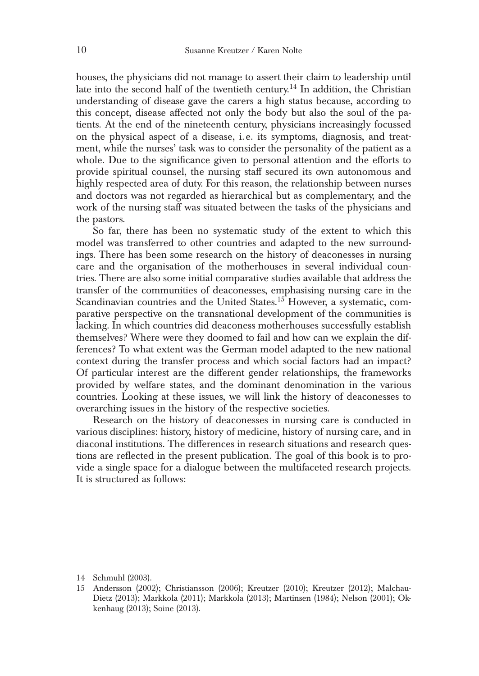houses, the physicians did not manage to assert their claim to leadership until late into the second half of the twentieth century.<sup>14</sup> In addition, the Christian understanding of disease gave the carers a high status because, according to this concept, disease affected not only the body but also the soul of the patients. At the end of the nineteenth century, physicians increasingly focussed on the physical aspect of a disease, i. e. its symptoms, diagnosis, and treatment, while the nurses' task was to consider the personality of the patient as a whole. Due to the significance given to personal attention and the efforts to provide spiritual counsel, the nursing staff secured its own autonomous and highly respected area of duty. For this reason, the relationship between nurses and doctors was not regarded as hierarchical but as complementary, and the work of the nursing staff was situated between the tasks of the physicians and the pastors.

So far, there has been no systematic study of the extent to which this model was transferred to other countries and adapted to the new surroundings. There has been some research on the history of deaconesses in nursing care and the organisation of the motherhouses in several individual countries. There are also some initial comparative studies available that address the transfer of the communities of deaconesses, emphasising nursing care in the Scandinavian countries and the United States.<sup>15</sup> However, a systematic, comparative perspective on the transnational development of the communities is lacking. In which countries did deaconess motherhouses successfully establish themselves? Where were they doomed to fail and how can we explain the differences? To what extent was the German model adapted to the new national context during the transfer process and which social factors had an impact? Of particular interest are the different gender relationships, the frameworks provided by welfare states, and the dominant denomination in the various countries. Looking at these issues, we will link the history of deaconesses to overarching issues in the history of the respective societies.

Research on the history of deaconesses in nursing care is conducted in various disciplines: history, history of medicine, history of nursing care, and in diaconal institutions. The differences in research situations and research questions are reflected in the present publication. The goal of this book is to provide a single space for a dialogue between the multifaceted research projects. It is structured as follows:

14 Schmuhl (2003).

<sup>15</sup> Andersson (2002); Christiansson (2006); Kreutzer (2010); Kreutzer (2012); Malchau-Dietz (2013); Markkola (2011); Markkola (2013); Martinsen (1984); Nelson (2001); Okkenhaug (2013); Soine (2013).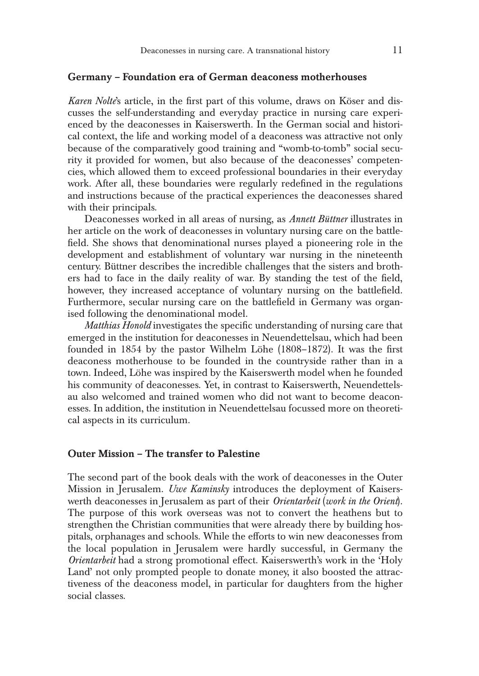#### Germany – Foundation era of German deaconess motherhouses

*Karen Nolte*'s article, in the first part of this volume, draws on Köser and discusses the self-understanding and everyday practice in nursing care experienced by the deaconesses in Kaiserswerth. In the German social and historical context, the life and working model of a deaconess was attractive not only because of the comparatively good training and "womb-to-tomb" social security it provided for women, but also because of the deaconesses' competencies, which allowed them to exceed professional boundaries in their everyday work. After all, these boundaries were regularly redefined in the regulations and instructions because of the practical experiences the deaconesses shared with their principals.

Deaconesses worked in all areas of nursing, as *Annett Büttner* illustrates in her article on the work of deaconesses in voluntary nursing care on the battlefield. She shows that denominational nurses played a pioneering role in the development and establishment of voluntary war nursing in the nineteenth century. Büttner describes the incredible challenges that the sisters and brothers had to face in the daily reality of war. By standing the test of the field, however, they increased acceptance of voluntary nursing on the battlefield. Furthermore, secular nursing care on the battlefield in Germany was organised following the denominational model.

*Matthias Honold* investigates the specific understanding of nursing care that emerged in the institution for deaconesses in Neuendettelsau, which had been founded in 1854 by the pastor Wilhelm Löhe (1808–1872). It was the first deaconess motherhouse to be founded in the countryside rather than in a town. Indeed, Löhe was inspired by the Kaiserswerth model when he founded his community of deaconesses. Yet, in contrast to Kaiserswerth, Neuendettelsau also welcomed and trained women who did not want to become deaconesses. In addition, the institution in Neuendettelsau focussed more on theoretical aspects in its curriculum.

#### Outer Mission – The transfer to Palestine

The second part of the book deals with the work of deaconesses in the Outer Mission in Jerusalem. *Uwe Kaminsky* introduces the deployment of Kaiserswerth deaconesses in Jerusalem as part of their *Orientarbeit* (*work in the Orient*). The purpose of this work overseas was not to convert the heathens but to strengthen the Christian communities that were already there by building hospitals, orphanages and schools. While the efforts to win new deaconesses from the local population in Jerusalem were hardly successful, in Germany the *Orientarbeit* had a strong promotional effect. Kaiserswerth's work in the 'Holy Land' not only prompted people to donate money, it also boosted the attractiveness of the deaconess model, in particular for daughters from the higher social classes.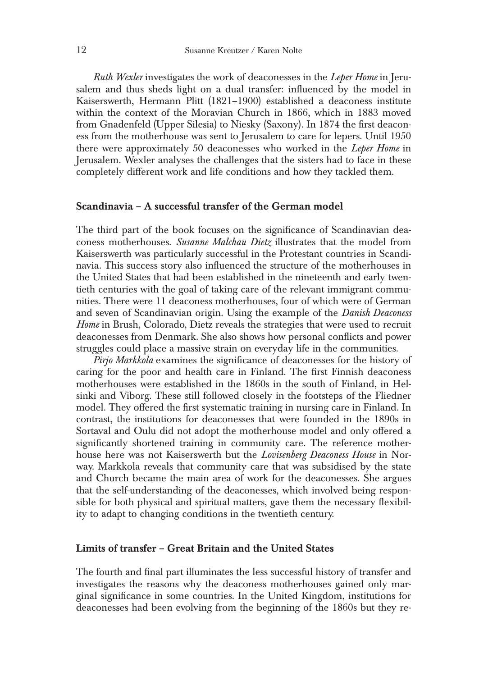*Ruth Wexler* investigates the work of deaconesses in the *Leper Home* in Jerusalem and thus sheds light on a dual transfer: influenced by the model in Kaiserswerth, Hermann Plitt (1821–1900) established a deaconess institute within the context of the Moravian Church in 1866, which in 1883 moved from Gnadenfeld (Upper Silesia) to Niesky (Saxony). In 1874 the first deaconess from the motherhouse was sent to Jerusalem to care for lepers. Until 1950 there were approximately 50 deaconesses who worked in the *Leper Home* in Jerusalem. Wexler analyses the challenges that the sisters had to face in these completely different work and life conditions and how they tackled them.

# Scandinavia – A successful transfer of the German model

The third part of the book focuses on the significance of Scandinavian deaconess motherhouses. *Susanne Malchau Dietz* illustrates that the model from Kaiserswerth was particularly successful in the Protestant countries in Scandinavia. This success story also influenced the structure of the motherhouses in the United States that had been established in the nineteenth and early twentieth centuries with the goal of taking care of the relevant immigrant communities. There were 11 deaconess motherhouses, four of which were of German and seven of Scandinavian origin. Using the example of the *Danish Deaconess Home* in Brush, Colorado, Dietz reveals the strategies that were used to recruit deaconesses from Denmark. She also shows how personal conflicts and power struggles could place a massive strain on everyday life in the communities.

*Pirjo Markkola* examines the significance of deaconesses for the history of caring for the poor and health care in Finland. The first Finnish deaconess motherhouses were established in the 1860s in the south of Finland, in Helsinki and Viborg. These still followed closely in the footsteps of the Fliedner model. They offered the first systematic training in nursing care in Finland. In contrast, the institutions for deaconesses that were founded in the 1890s in Sortaval and Oulu did not adopt the motherhouse model and only offered a significantly shortened training in community care. The reference motherhouse here was not Kaiserswerth but the *Lovisenberg Deaconess House* in Norway. Markkola reveals that community care that was subsidised by the state and Church became the main area of work for the deaconesses. She argues that the self-understanding of the deaconesses, which involved being responsible for both physical and spiritual matters, gave them the necessary flexibility to adapt to changing conditions in the twentieth century.

# Limits of transfer – Great Britain and the United States

The fourth and final part illuminates the less successful history of transfer and investigates the reasons why the deaconess motherhouses gained only marginal significance in some countries. In the United Kingdom, institutions for deaconesses had been evolving from the beginning of the 1860s but they re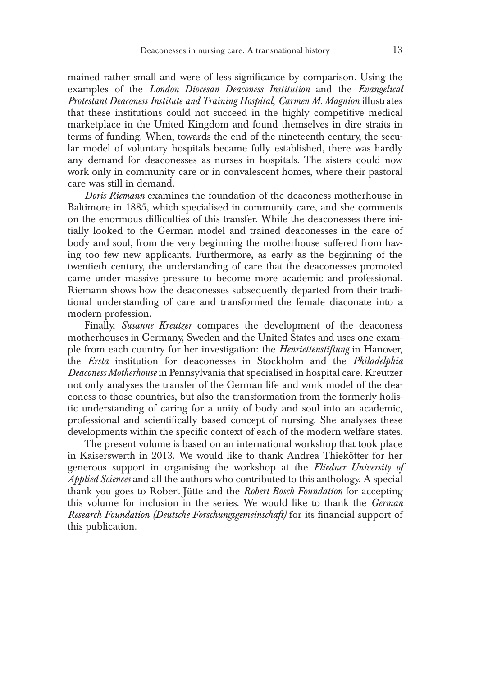mained rather small and were of less significance by comparison. Using the examples of the *London Diocesan Deaconess Institution* and the *Evangelical Protestant Deaconess Institute and Training Hospital*, *Carmen M. Magnion* illustrates that these institutions could not succeed in the highly competitive medical marketplace in the United Kingdom and found themselves in dire straits in terms of funding. When, towards the end of the nineteenth century, the secular model of voluntary hospitals became fully established, there was hardly any demand for deaconesses as nurses in hospitals. The sisters could now work only in community care or in convalescent homes, where their pastoral care was still in demand.

*Doris Riemann* examines the foundation of the deaconess motherhouse in Baltimore in 1885, which specialised in community care, and she comments on the enormous difficulties of this transfer. While the deaconesses there initially looked to the German model and trained deaconesses in the care of body and soul, from the very beginning the motherhouse suffered from having too few new applicants. Furthermore, as early as the beginning of the twentieth century, the understanding of care that the deaconesses promoted came under massive pressure to become more academic and professional. Riemann shows how the deaconesses subsequently departed from their traditional understanding of care and transformed the female diaconate into a modern profession.

Finally, *Susanne Kreutzer* compares the development of the deaconess motherhouses in Germany, Sweden and the United States and uses one example from each country for her investigation: the *Henriettenstiftung* in Hanover, the *Ersta* institution for deaconesses in Stockholm and the *Philadelphia Deaconess Motherhouse* in Pennsylvania that specialised in hospital care. Kreutzer not only analyses the transfer of the German life and work model of the deaconess to those countries, but also the transformation from the formerly holistic understanding of caring for a unity of body and soul into an academic, professional and scientifically based concept of nursing. She analyses these developments within the specific context of each of the modern welfare states.

The present volume is based on an international workshop that took place in Kaiserswerth in 2013. We would like to thank Andrea Thiekötter for her generous support in organising the workshop at the *Fliedner University of Applied Sciences* and all the authors who contributed to this anthology. A special thank you goes to Robert Jütte and the *Robert Bosch Foundation* for accepting this volume for inclusion in the series. We would like to thank the *German Research Foundation (Deutsche Forschungsgemeinschaft)* for its financial support of this publication.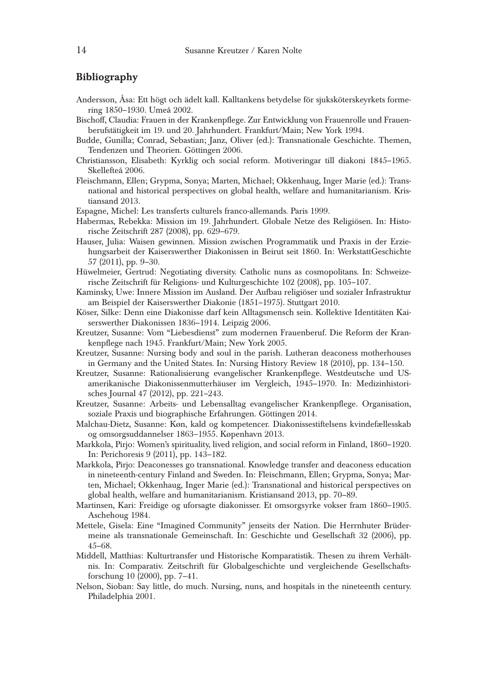## Bibliography

- Andersson, Åsa: Ett högt och ädelt kall. Kalltankens betydelse för sjuksköterskeyrkets formering 1850–1930. Umeå 2002.
- Bischoff, Claudia: Frauen in der Krankenpflege. Zur Entwicklung von Frauenrolle und Frauenberufstätigkeit im 19. und 20. Jahrhundert. Frankfurt/Main; New York 1994.
- Budde, Gunilla; Conrad, Sebastian; Janz, Oliver (ed.): Transnationale Geschichte. Themen, Tendenzen und Theorien. Göttingen 2006.
- Christiansson, Elisabeth: Kyrklig och social reform. Motiveringar till diakoni 1845–1965. Skellefteå 2006.
- Fleischmann, Ellen; Grypma, Sonya; Marten, Michael; Okkenhaug, Inger Marie (ed.): Transnational and historical perspectives on global health, welfare and humanitarianism. Kristiansand 2013.
- Espagne, Michel: Les transferts culturels franco-allemands. Paris 1999.
- Habermas, Rebekka: Mission im 19. Jahrhundert. Globale Netze des Religiösen. In: Historische Zeitschrift 287 (2008), pp. 629–679.
- Hauser, Julia: Waisen gewinnen. Mission zwischen Programmatik und Praxis in der Erziehungsarbeit der Kaiserswerther Diakonissen in Beirut seit 1860. In: WerkstattGeschichte 57 (2011), pp. 9–30.
- Hüwelmeier, Gertrud: Negotiating diversity. Catholic nuns as cosmopolitans. In: Schweizerische Zeitschrift für Religions- und Kulturgeschichte 102 (2008), pp. 105–107.
- Kaminsky, Uwe: Innere Mission im Ausland. Der Aufbau religiöser und sozialer Infrastruktur am Beispiel der Kaiserswerther Diakonie (1851–1975). Stuttgart 2010.
- Köser, Silke: Denn eine Diakonisse darf kein Alltagsmensch sein. Kollektive Identitäten Kaiserswerther Diakonissen 1836–1914. Leipzig 2006.
- Kreutzer, Susanne: Vom "Liebesdienst" zum modernen Frauenberuf. Die Reform der Krankenpflege nach 1945. Frankfurt/Main; New York 2005.
- Kreutzer, Susanne: Nursing body and soul in the parish. Lutheran deaconess motherhouses in Germany and the United States. In: Nursing History Review 18 (2010), pp. 134–150.
- Kreutzer, Susanne: Rationalisierung evangelischer Krankenpflege. Westdeutsche und USamerikanische Diakonissenmutterhäuser im Vergleich, 1945–1970. In: Medizinhistorisches Journal 47 (2012), pp. 221–243.
- Kreutzer, Susanne: Arbeits- und Lebensalltag evangelischer Krankenpflege. Organisation, soziale Praxis und biographische Erfahrungen. Göttingen 2014.
- Malchau-Dietz, Susanne: Køn, kald og kompetencer. Diakonissestiftelsens kvindefællesskab og omsorgsuddannelser 1863–1955. Køpenhavn 2013.
- Markkola, Pirjo: Women's spirituality, lived religion, and social reform in Finland, 1860–1920. In: Perichoresis 9 (2011), pp. 143–182.
- Markkola, Pirjo: Deaconesses go transnational. Knowledge transfer and deaconess education in nineteenth-century Finland and Sweden. In: Fleischmann, Ellen; Grypma, Sonya; Marten, Michael; Okkenhaug, Inger Marie (ed.): Transnational and historical perspectives on global health, welfare and humanitarianism. Kristiansand 2013, pp. 70–89.
- Martinsen, Kari: Freidige og uforsagte diakonisser. Et omsorgsyrke vokser fram 1860–1905. Aschehoug 1984.
- Mettele, Gisela: Eine "Imagined Community" jenseits der Nation. Die Herrnhuter Brüdermeine als transnationale Gemeinschaft. In: Geschichte und Gesellschaft 32 (2006), pp. 45–68.
- Middell, Matthias: Kulturtransfer und Historische Komparatistik. Thesen zu ihrem Verhältnis. In: Comparativ. Zeitschrift für Globalgeschichte und vergleichende Gesellschaftsforschung 10 (2000), pp. 7–41.
- Nelson, Sioban: Say little, do much. Nursing, nuns, and hospitals in the nineteenth century. Philadelphia 2001.